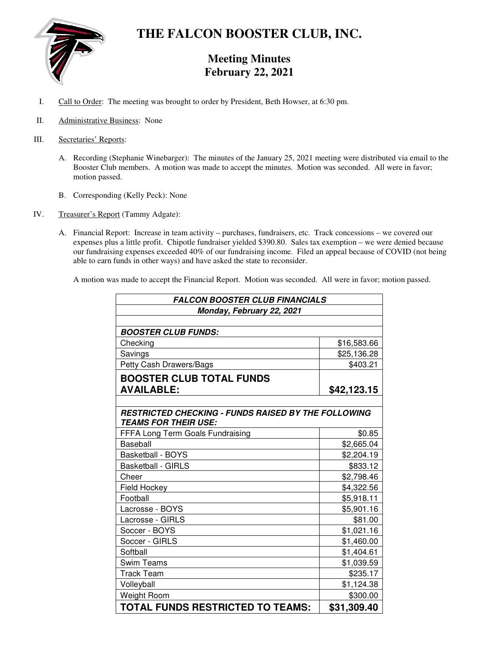

# **THE FALCON BOOSTER CLUB, INC.**

## **Meeting Minutes February 22, 2021**

- I. Call to Order: The meeting was brought to order by President, Beth Howser, at 6:30 pm.
- II. Administrative Business: None
- III. Secretaries' Reports:
	- A. Recording (Stephanie Winebarger): The minutes of the January 25, 2021 meeting were distributed via email to the Booster Club members. A motion was made to accept the minutes. Motion was seconded. All were in favor; motion passed.
	- B. Corresponding (Kelly Peck): None
- IV. Treasurer's Report (Tammy Adgate):
	- A. Financial Report: Increase in team activity purchases, fundraisers, etc. Track concessions we covered our expenses plus a little profit. Chipotle fundraiser yielded \$390.80. Sales tax exemption – we were denied because our fundraising expenses exceeded 40% of our fundraising income. Filed an appeal because of COVID (not being able to earn funds in other ways) and have asked the state to reconsider.

A motion was made to accept the Financial Report. Motion was seconded. All were in favor; motion passed.

| <b>FALCON BOOSTER CLUB FINANCIALS</b>                      |             |
|------------------------------------------------------------|-------------|
| Monday, February 22, 2021                                  |             |
|                                                            |             |
| <b>BOOSTER CLUB FUNDS:</b>                                 |             |
| Checking                                                   | \$16,583.66 |
| Savings                                                    | \$25,136.28 |
| Petty Cash Drawers/Bags                                    | \$403.21    |
| <b>BOOSTER CLUB TOTAL FUNDS</b>                            |             |
| <b>AVAILABLE:</b>                                          | \$42,123.15 |
|                                                            |             |
| <b>RESTRICTED CHECKING - FUNDS RAISED BY THE FOLLOWING</b> |             |
| <b>TEAMS FOR THEIR USE:</b>                                |             |
| FFFA Long Term Goals Fundraising                           | \$0.85      |
| Baseball                                                   | \$2,665.04  |
| <b>Basketball - BOYS</b>                                   | \$2,204.19  |
| <b>Basketball - GIRLS</b>                                  | \$833.12    |
| Cheer                                                      | \$2,798.46  |
| Field Hockey                                               | \$4,322.56  |
| Football                                                   | \$5,918.11  |
| Lacrosse - BOYS                                            | \$5,901.16  |
| Lacrosse - GIRLS                                           | \$81.00     |
| Soccer - BOYS                                              | \$1,021.16  |
| Soccer - GIRLS                                             | \$1,460.00  |
| Softball                                                   | \$1,404.61  |
| <b>Swim Teams</b>                                          | \$1,039.59  |
| <b>Track Team</b>                                          | \$235.17    |
| Volleyball                                                 | \$1,124.38  |
| Weight Room                                                | \$300.00    |
| <b>TOTAL FUNDS RESTRICTED TO TEAMS:</b>                    | \$31,309.40 |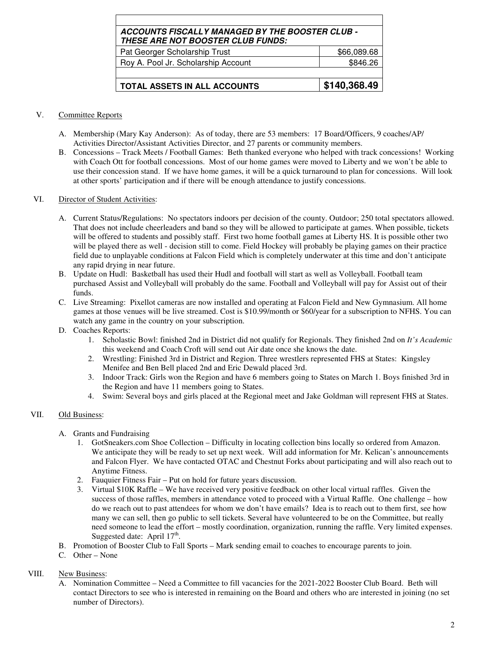### **ACCOUNTS FISCALLY MANAGED BY THE BOOSTER CLUB - THESE ARE NOT BOOSTER CLUB FUNDS:**

| Roy A. Pool Jr. Scholarship Account | \$846.26     |
|-------------------------------------|--------------|
| <b>TOTAL ASSETS IN ALL ACCOUNTS</b> | \$140,368.49 |

#### V. Committee Reports

- A. Membership (Mary Kay Anderson): As of today, there are 53 members: 17 Board/Officers, 9 coaches/AP/ Activities Director/Assistant Activities Director, and 27 parents or community members.
- B. Concessions Track Meets / Football Games: Beth thanked everyone who helped with track concessions! Working with Coach Ott for football concessions. Most of our home games were moved to Liberty and we won't be able to use their concession stand. If we have home games, it will be a quick turnaround to plan for concessions. Will look at other sports' participation and if there will be enough attendance to justify concessions.

#### VI. Director of Student Activities:

- A. Current Status/Regulations: No spectators indoors per decision of the county. Outdoor; 250 total spectators allowed. That does not include cheerleaders and band so they will be allowed to participate at games. When possible, tickets will be offered to students and possibly staff. First two home football games at Liberty HS. It is possible other two will be played there as well - decision still to come. Field Hockey will probably be playing games on their practice field due to unplayable conditions at Falcon Field which is completely underwater at this time and don't anticipate any rapid drying in near future.
- B. Update on Hudl: Basketball has used their Hudl and football will start as well as Volleyball. Football team purchased Assist and Volleyball will probably do the same. Football and Volleyball will pay for Assist out of their funds.
- C. Live Streaming: Pixellot cameras are now installed and operating at Falcon Field and New Gymnasium. All home games at those venues will be live streamed. Cost is \$10.99/month or \$60/year for a subscription to NFHS. You can watch any game in the country on your subscription.
- D. Coaches Reports:
	- 1. Scholastic Bowl: finished 2nd in District did not qualify for Regionals. They finished 2nd on *It's Academic* this weekend and Coach Croft will send out Air date once she knows the date.
	- 2. Wrestling: Finished 3rd in District and Region. Three wrestlers represented FHS at States: Kingsley Menifee and Ben Bell placed 2nd and Eric Dewald placed 3rd.
	- 3. Indoor Track: Girls won the Region and have 6 members going to States on March 1. Boys finished 3rd in the Region and have 11 members going to States.
	- 4. Swim: Several boys and girls placed at the Regional meet and Jake Goldman will represent FHS at States.

#### VII. Old Business:

- A. Grants and Fundraising
	- 1. GotSneakers.com Shoe Collection Difficulty in locating collection bins locally so ordered from Amazon. We anticipate they will be ready to set up next week. Will add information for Mr. Kelican's announcements and Falcon Flyer. We have contacted OTAC and Chestnut Forks about participating and will also reach out to Anytime Fitness.
	- 2. Fauquier Fitness Fair Put on hold for future years discussion.
	- 3. Virtual \$10K Raffle We have received very positive feedback on other local virtual raffles. Given the success of those raffles, members in attendance voted to proceed with a Virtual Raffle. One challenge – how do we reach out to past attendees for whom we don't have emails? Idea is to reach out to them first, see how many we can sell, then go public to sell tickets. Several have volunteered to be on the Committee, but really need someone to lead the effort – mostly coordination, organization, running the raffle. Very limited expenses. Suggested date: April  $17<sup>th</sup>$ .
- B. Promotion of Booster Club to Fall Sports Mark sending email to coaches to encourage parents to join.
- C. Other None

#### VIII. New Business:

A. Nomination Committee – Need a Committee to fill vacancies for the 2021-2022 Booster Club Board. Beth will contact Directors to see who is interested in remaining on the Board and others who are interested in joining (no set number of Directors).